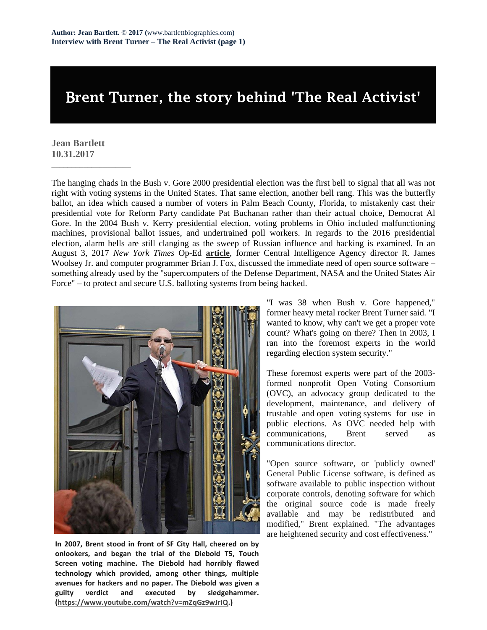## B**rent** T**urner, the story behind 'The Real Activist'**

## **Jean Bartlett 10.31.2017**

\_\_\_\_\_\_\_\_\_\_\_\_\_\_\_\_\_\_\_\_

The hanging chads in the Bush v. Gore 2000 presidential election was the first bell to signal that all was not right with voting systems in the United States. That same election, another bell rang. This was the butterfly ballot, an idea which caused a number of voters in Palm Beach County, Florida, to mistakenly cast their presidential vote for Reform Party candidate Pat Buchanan rather than their actual choice, Democrat Al Gore. In the 2004 Bush v. Kerry presidential election, voting problems in Ohio included malfunctioning machines, provisional ballot issues, and undertrained poll workers. In regards to the 2016 presidential election, alarm bells are still clanging as the sweep of Russian influence and hacking is examined. In an August 3, 2017 *New York Times* Op-Ed **[article](https://www.nytimes.com/2017/08/03/opinion/open-source-software-hacker-voting.html)**, former Central Intelligence Agency director R. James Woolsey Jr. and computer programmer Brian J. Fox, discussed the immediate need of open source software – something already used by the "supercomputers of the Defense Department, NASA and the United States Air Force" – to protect and secure U.S. balloting systems from being hacked.



**In 2007, Brent stood in front of SF City Hall, cheered on by onlookers, and began the trial of the Diebold T5, Touch Screen voting machine. The Diebold had horribly flawed technology which provided, among other things, multiple avenues for hackers and no paper. The Diebold was given a guilty verdict and executed by sledgehammer. [\(https://www.youtube.com/watch?v=mZqGz9wJrIQ.](https://www.youtube.com/watch?v=mZqGz9wJrIQ))**

"I was 38 when Bush v. Gore happened," former heavy metal rocker Brent Turner said. "I wanted to know, why can't we get a proper vote count? What's going on there? Then in 2003, I ran into the foremost experts in the world regarding election system security."

These foremost experts were part of the 2003 formed nonprofit Open Voting Consortium (OVC), an advocacy group dedicated to the development, maintenance, and delivery of trustable and open voting systems for use in public elections. As OVC needed help with communications, Brent served as communications director.

"Open source software, or 'publicly owned' General Public License software, is defined as software available to public inspection without corporate controls, denoting software for which the original source code is made freely available and may be redistributed and modified," Brent explained. "The advantages are heightened security and cost effectiveness."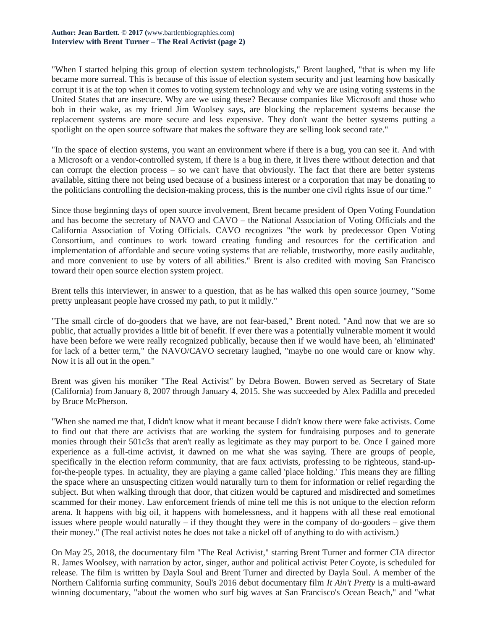"When I started helping this group of election system technologists," Brent laughed, "that is when my life became more surreal. This is because of this issue of election system security and just learning how basically corrupt it is at the top when it comes to voting system technology and why we are using voting systems in the United States that are insecure. Why are we using these? Because companies like Microsoft and those who bob in their wake, as my friend Jim Woolsey says, are blocking the replacement systems because the replacement systems are more secure and less expensive. They don't want the better systems putting a spotlight on the open source software that makes the software they are selling look second rate."

"In the space of election systems, you want an environment where if there is a bug, you can see it. And with a Microsoft or a vendor-controlled system, if there is a bug in there, it lives there without detection and that can corrupt the election process – so we can't have that obviously. The fact that there are better systems available, sitting there not being used because of a business interest or a corporation that may be donating to the politicians controlling the decision-making process, this is the number one civil rights issue of our time."

Since those beginning days of open source involvement, Brent became president of Open Voting Foundation and has become the secretary of NAVO and CAVO – the National Association of Voting Officials and the California Association of Voting Officials. CAVO recognizes "the work by predecessor Open Voting Consortium, and continues to work toward creating funding and resources for the certification and implementation of affordable and secure voting systems that are reliable, trustworthy, more easily auditable, and more convenient to use by voters of all abilities." Brent is also credited with moving San Francisco toward their open source election system project.

Brent tells this interviewer, in answer to a question, that as he has walked this open source journey, "Some pretty unpleasant people have crossed my path, to put it mildly."

"The small circle of do-gooders that we have, are not fear-based," Brent noted. "And now that we are so public, that actually provides a little bit of benefit. If ever there was a potentially vulnerable moment it would have been before we were really recognized publically, because then if we would have been, ah 'eliminated' for lack of a better term," the NAVO/CAVO secretary laughed, "maybe no one would care or know why. Now it is all out in the open."

Brent was given his moniker "The Real Activist" by Debra Bowen. Bowen served as Secretary of State (California) from January 8, 2007 through January 4, 2015. She was succeeded by Alex Padilla and preceded by Bruce McPherson.

"When she named me that, I didn't know what it meant because I didn't know there were fake activists. Come to find out that there are activists that are working the system for fundraising purposes and to generate monies through their 501c3s that aren't really as legitimate as they may purport to be. Once I gained more experience as a full-time activist, it dawned on me what she was saying. There are groups of people, specifically in the election reform community, that are faux activists, professing to be righteous, stand-upfor-the-people types. In actuality, they are playing a game called 'place holding.' This means they are filling the space where an unsuspecting citizen would naturally turn to them for information or relief regarding the subject. But when walking through that door, that citizen would be captured and misdirected and sometimes scammed for their money. Law enforcement friends of mine tell me this is not unique to the election reform arena. It happens with big oil, it happens with homelessness, and it happens with all these real emotional issues where people would naturally  $-$  if they thought they were in the company of do-gooders  $-$  give them their money." (The real activist notes he does not take a nickel off of anything to do with activism.)

On May 25, 2018, the documentary film "The Real Activist," starring Brent Turner and former CIA director R. James Woolsey, with narration by actor, singer, author and political activist Peter Coyote, is scheduled for release. The film is written by Dayla Soul and Brent Turner and directed by Dayla Soul. A member of the Northern California surfing community, Soul's 2016 debut documentary film *It Ain't Pretty* is a multi-award winning documentary, "about the women who surf big waves at San Francisco's Ocean Beach," and "what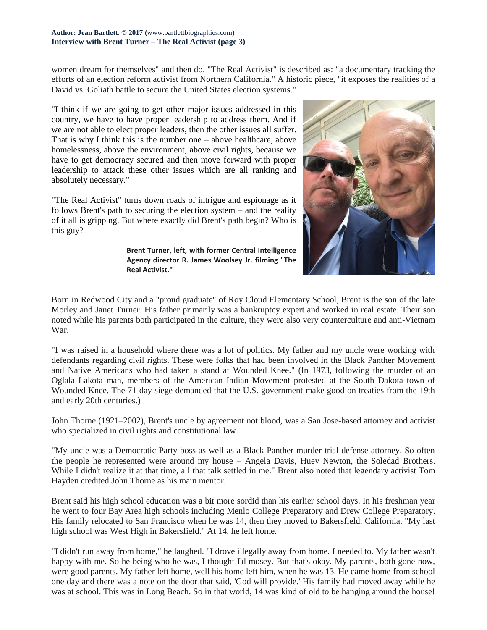women dream for themselves" and then do. "The Real Activist" is described as: "a documentary tracking the efforts of an election reform activist from Northern California." A historic piece, "it exposes the realities of a David vs. Goliath battle to secure the United States election systems."

"I think if we are going to get other major issues addressed in this country, we have to have proper leadership to address them. And if we are not able to elect proper leaders, then the other issues all suffer. That is why I think this is the number one – above healthcare, above homelessness, above the environment, above civil rights, because we have to get democracy secured and then move forward with proper leadership to attack these other issues which are all ranking and absolutely necessary."

"The Real Activist" turns down roads of intrigue and espionage as it follows Brent's path to securing the election system – and the reality of it all is gripping. But where exactly did Brent's path begin? Who is this guy?

**Brent Turner, left, with former Central Intelligence Agency director R. James Woolsey Jr. filming "The Real Activist."**



Born in Redwood City and a "proud graduate" of Roy Cloud Elementary School, Brent is the son of the late Morley and Janet Turner. His father primarily was a bankruptcy expert and worked in real estate. Their son noted while his parents both participated in the culture, they were also very counterculture and anti-Vietnam War.

"I was raised in a household where there was a lot of politics. My father and my uncle were working with defendants regarding civil rights. These were folks that had been involved in the Black Panther Movement and Native Americans who had taken a stand at Wounded Knee." (In 1973, following the murder of an Oglala Lakota man, members of the American Indian Movement protested at the South Dakota town of Wounded Knee. The 71-day siege demanded that the U.S. government make good on treaties from the 19th and early 20th centuries.)

John Thorne (1921–2002), Brent's uncle by agreement not blood, was a San Jose-based attorney and activist who specialized in civil rights and constitutional law.

"My uncle was a Democratic Party boss as well as a Black Panther murder trial defense attorney. So often the people he represented were around my house – Angela Davis, Huey Newton, the Soledad Brothers. While I didn't realize it at that time, all that talk settled in me." Brent also noted that legendary activist Tom Hayden credited John Thorne as his main mentor.

Brent said his high school education was a bit more sordid than his earlier school days. In his freshman year he went to four Bay Area high schools including Menlo College Preparatory and Drew College Preparatory. His family relocated to San Francisco when he was 14, then they moved to Bakersfield, California. "My last high school was West High in Bakersfield." At 14, he left home.

"I didn't run away from home," he laughed. "I drove illegally away from home. I needed to. My father wasn't happy with me. So he being who he was, I thought I'd mosey. But that's okay. My parents, both gone now, were good parents. My father left home, well his home left him, when he was 13. He came home from school one day and there was a note on the door that said, 'God will provide.' His family had moved away while he was at school. This was in Long Beach. So in that world, 14 was kind of old to be hanging around the house!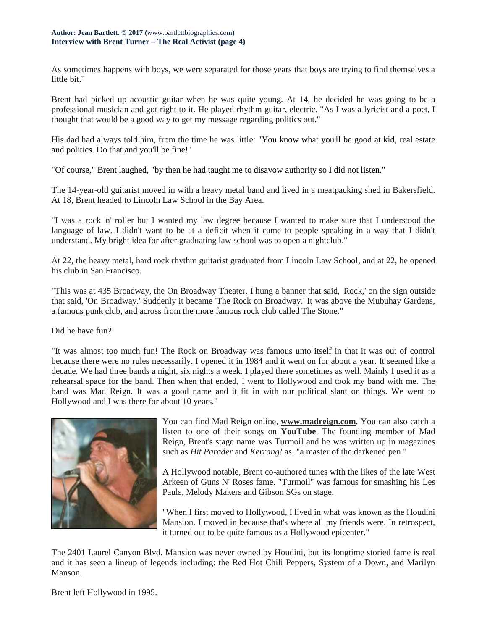As sometimes happens with boys, we were separated for those years that boys are trying to find themselves a little bit."

Brent had picked up acoustic guitar when he was quite young. At 14, he decided he was going to be a professional musician and got right to it. He played rhythm guitar, electric. "As I was a lyricist and a poet, I thought that would be a good way to get my message regarding politics out."

His dad had always told him, from the time he was little: "You know what you'll be good at kid, real estate and politics. Do that and you'll be fine!"

"Of course," Brent laughed, "by then he had taught me to disavow authority so I did not listen."

The 14-year-old guitarist moved in with a heavy metal band and lived in a meatpacking shed in Bakersfield. At 18, Brent headed to Lincoln Law School in the Bay Area.

"I was a rock 'n' roller but I wanted my law degree because I wanted to make sure that I understood the language of law. I didn't want to be at a deficit when it came to people speaking in a way that I didn't understand. My bright idea for after graduating law school was to open a nightclub."

At 22, the heavy metal, hard rock rhythm guitarist graduated from Lincoln Law School, and at 22, he opened his club in San Francisco.

"This was at 435 Broadway, the On Broadway Theater. I hung a banner that said, 'Rock,' on the sign outside that said, 'On Broadway.' Suddenly it became 'The Rock on Broadway.' It was above the Mubuhay Gardens, a famous punk club, and across from the more famous rock club called The Stone."

Did he have fun?

"It was almost too much fun! The Rock on Broadway was famous unto itself in that it was out of control because there were no rules necessarily. I opened it in 1984 and it went on for about a year. It seemed like a decade. We had three bands a night, six nights a week. I played there sometimes as well. Mainly I used it as a rehearsal space for the band. Then when that ended, I went to Hollywood and took my band with me. The band was Mad Reign. It was a good name and it fit in with our political slant on things. We went to Hollywood and I was there for about 10 years."



You can find Mad Reign online, **[www.madreign.com](http://www.madreign.com/)**. You can also catch a listen to one of their songs on **[YouTube](https://www.youtube.com/watch?v=UwW6hqqd_9U)**. The founding member of Mad Reign, Brent's stage name was Turmoil and he was written up in magazines such as *Hit Parader* and *Kerrang!* as: "a master of the darkened pen."

A Hollywood notable, Brent co-authored tunes with the likes of the late West Arkeen of Guns N' Roses fame. "Turmoil" was famous for smashing his Les Pauls, Melody Makers and Gibson SGs on stage.

"When I first moved to Hollywood, I lived in what was known as the Houdini Mansion. I moved in because that's where all my friends were. In retrospect, it turned out to be quite famous as a Hollywood epicenter."

The 2401 Laurel Canyon Blvd. Mansion was never owned by Houdini, but its longtime storied fame is real and it has seen a lineup of legends including: the Red Hot Chili Peppers, System of a Down, and Marilyn Manson.

Brent left Hollywood in 1995.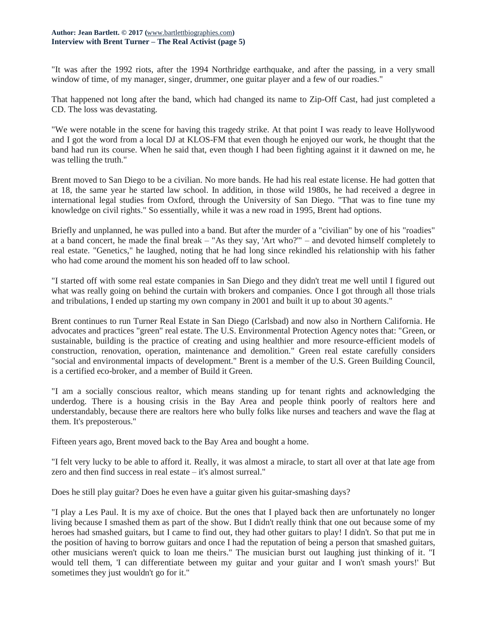"It was after the 1992 riots, after the 1994 Northridge earthquake, and after the passing, in a very small window of time, of my manager, singer, drummer, one guitar player and a few of our roadies."

That happened not long after the band, which had changed its name to Zip-Off Cast, had just completed a CD. The loss was devastating.

"We were notable in the scene for having this tragedy strike. At that point I was ready to leave Hollywood and I got the word from a local DJ at KLOS-FM that even though he enjoyed our work, he thought that the band had run its course. When he said that, even though I had been fighting against it it dawned on me, he was telling the truth."

Brent moved to San Diego to be a civilian. No more bands. He had his real estate license. He had gotten that at 18, the same year he started law school. In addition, in those wild 1980s, he had received a degree in international legal studies from Oxford, through the University of San Diego. "That was to fine tune my knowledge on civil rights." So essentially, while it was a new road in 1995, Brent had options.

Briefly and unplanned, he was pulled into a band. But after the murder of a "civilian" by one of his "roadies" at a band concert, he made the final break – "As they say, 'Art who?'" – and devoted himself completely to real estate. "Genetics," he laughed, noting that he had long since rekindled his relationship with his father who had come around the moment his son headed off to law school.

"I started off with some real estate companies in San Diego and they didn't treat me well until I figured out what was really going on behind the curtain with brokers and companies. Once I got through all those trials and tribulations, I ended up starting my own company in 2001 and built it up to about 30 agents."

Brent continues to run Turner Real Estate in San Diego (Carlsbad) and now also in Northern California. He advocates and practices "green" real estate. The U.S. Environmental Protection Agency notes that: "Green, or sustainable, building is the practice of creating and using healthier and more resource-efficient models of construction, renovation, operation, maintenance and demolition." Green real estate carefully considers "social and environmental impacts of development." Brent is a member of the U.S. Green Building Council, is a certified eco-broker, and a member of Build it Green.

"I am a socially conscious realtor, which means standing up for tenant rights and acknowledging the underdog. There is a housing crisis in the Bay Area and people think poorly of realtors here and understandably, because there are realtors here who bully folks like nurses and teachers and wave the flag at them. It's preposterous."

Fifteen years ago, Brent moved back to the Bay Area and bought a home.

"I felt very lucky to be able to afford it. Really, it was almost a miracle, to start all over at that late age from zero and then find success in real estate – it's almost surreal."

Does he still play guitar? Does he even have a guitar given his guitar-smashing days?

"I play a Les Paul. It is my axe of choice. But the ones that I played back then are unfortunately no longer living because I smashed them as part of the show. But I didn't really think that one out because some of my heroes had smashed guitars, but I came to find out, they had other guitars to play! I didn't. So that put me in the position of having to borrow guitars and once I had the reputation of being a person that smashed guitars, other musicians weren't quick to loan me theirs." The musician burst out laughing just thinking of it. "I would tell them, 'I can differentiate between my guitar and your guitar and I won't smash yours!' But sometimes they just wouldn't go for it."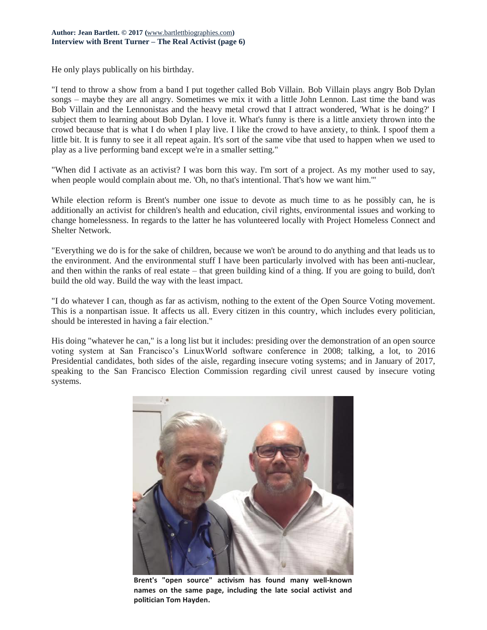He only plays publically on his birthday.

"I tend to throw a show from a band I put together called Bob Villain. Bob Villain plays angry Bob Dylan songs – maybe they are all angry. Sometimes we mix it with a little John Lennon. Last time the band was Bob Villain and the Lennonistas and the heavy metal crowd that I attract wondered, 'What is he doing?' I subject them to learning about Bob Dylan. I love it. What's funny is there is a little anxiety thrown into the crowd because that is what I do when I play live. I like the crowd to have anxiety, to think. I spoof them a little bit. It is funny to see it all repeat again. It's sort of the same vibe that used to happen when we used to play as a live performing band except we're in a smaller setting."

"When did I activate as an activist? I was born this way. I'm sort of a project. As my mother used to say, when people would complain about me. 'Oh, no that's intentional. That's how we want him.'"

While election reform is Brent's number one issue to devote as much time to as he possibly can, he is additionally an activist for children's health and education, civil rights, environmental issues and working to change homelessness. In regards to the latter he has volunteered locally with Project Homeless Connect and Shelter Network.

"Everything we do is for the sake of children, because we won't be around to do anything and that leads us to the environment. And the environmental stuff I have been particularly involved with has been anti-nuclear, and then within the ranks of real estate – that green building kind of a thing. If you are going to build, don't build the old way. Build the way with the least impact.

"I do whatever I can, though as far as activism, nothing to the extent of the Open Source Voting movement. This is a nonpartisan issue. It affects us all. Every citizen in this country, which includes every politician, should be interested in having a fair election."

His doing "whatever he can," is a long list but it includes: presiding over the demonstration of an open source voting system at San Francisco's LinuxWorld software conference in 2008; talking, a lot, to 2016 Presidential candidates, both sides of the aisle, regarding insecure voting systems; and in January of 2017, speaking to the San Francisco Election Commission regarding civil unrest caused by insecure voting systems.



**Brent's "open source" activism has found many well-known names on the same page, including the late social activist and politician Tom Hayden.**